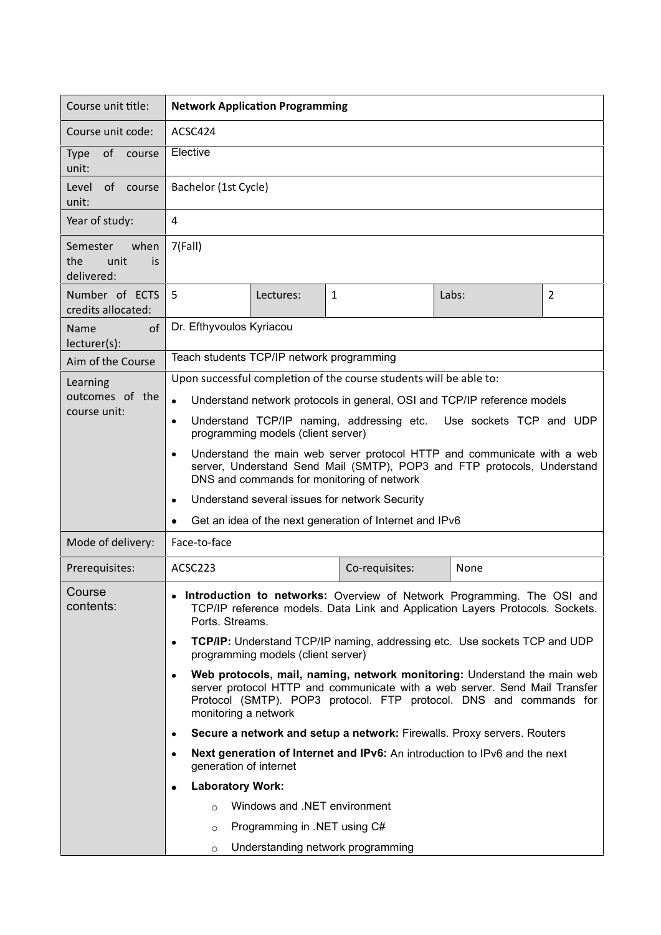| Course unit title:                                   | <b>Network Application Programming</b>                                                                                                                                                                                                                            |           |                |       |                |  |
|------------------------------------------------------|-------------------------------------------------------------------------------------------------------------------------------------------------------------------------------------------------------------------------------------------------------------------|-----------|----------------|-------|----------------|--|
| Course unit code:                                    | ACSC424                                                                                                                                                                                                                                                           |           |                |       |                |  |
| of<br><b>Type</b><br>course<br>unit:                 | Elective                                                                                                                                                                                                                                                          |           |                |       |                |  |
| Level<br>of course<br>unit:                          | Bachelor (1st Cycle)                                                                                                                                                                                                                                              |           |                |       |                |  |
| Year of study:                                       | $\overline{4}$                                                                                                                                                                                                                                                    |           |                |       |                |  |
| when<br>Semester<br>the<br>unit<br>is.<br>delivered: | 7(Fall)                                                                                                                                                                                                                                                           |           |                |       |                |  |
| Number of ECTS<br>credits allocated:                 | 5                                                                                                                                                                                                                                                                 | Lectures: | 1              | Labs: | $\overline{2}$ |  |
| of<br>Name<br>lecturer(s):                           | Dr. Efthyvoulos Kyriacou                                                                                                                                                                                                                                          |           |                |       |                |  |
| Aim of the Course                                    | Teach students TCP/IP network programming                                                                                                                                                                                                                         |           |                |       |                |  |
| Learning<br>outcomes of the<br>course unit:          | Upon successful completion of the course students will be able to:                                                                                                                                                                                                |           |                |       |                |  |
|                                                      | Understand network protocols in general, OSI and TCP/IP reference models<br>$\bullet$                                                                                                                                                                             |           |                |       |                |  |
|                                                      | Understand TCP/IP naming, addressing etc. Use sockets TCP and UDP<br>$\bullet$<br>programming models (client server)                                                                                                                                              |           |                |       |                |  |
|                                                      | Understand the main web server protocol HTTP and communicate with a web<br>$\bullet$<br>server, Understand Send Mail (SMTP), POP3 and FTP protocols, Understand<br>DNS and commands for monitoring of network                                                     |           |                |       |                |  |
|                                                      | Understand several issues for network Security<br>$\bullet$                                                                                                                                                                                                       |           |                |       |                |  |
|                                                      | Get an idea of the next generation of Internet and IPv6                                                                                                                                                                                                           |           |                |       |                |  |
| Mode of delivery:                                    | Face-to-face                                                                                                                                                                                                                                                      |           |                |       |                |  |
| Prerequisites:                                       | ACSC223                                                                                                                                                                                                                                                           |           | Co-requisites: | None  |                |  |
| Course<br>contents:                                  | Introduction to networks: Overview of Network Programming. The OSI and<br>TCP/IP reference models. Data Link and Application Layers Protocols. Sockets.<br>Ports. Streams.                                                                                        |           |                |       |                |  |
|                                                      | TCP/IP: Understand TCP/IP naming, addressing etc. Use sockets TCP and UDP<br>$\bullet$<br>programming models (client server)                                                                                                                                      |           |                |       |                |  |
|                                                      | Web protocols, mail, naming, network monitoring: Understand the main web<br>$\bullet$<br>server protocol HTTP and communicate with a web server. Send Mail Transfer<br>Protocol (SMTP). POP3 protocol. FTP protocol. DNS and commands for<br>monitoring a network |           |                |       |                |  |
|                                                      | Secure a network and setup a network: Firewalls. Proxy servers. Routers<br>$\bullet$                                                                                                                                                                              |           |                |       |                |  |
|                                                      | Next generation of Internet and IPv6: An introduction to IPv6 and the next<br>$\bullet$<br>generation of internet                                                                                                                                                 |           |                |       |                |  |
|                                                      | <b>Laboratory Work:</b><br>٠                                                                                                                                                                                                                                      |           |                |       |                |  |
|                                                      | Windows and .NET environment<br>$\Omega$                                                                                                                                                                                                                          |           |                |       |                |  |
|                                                      | Programming in .NET using C#<br>$\circ$                                                                                                                                                                                                                           |           |                |       |                |  |
|                                                      | Understanding network programming<br>$\circ$                                                                                                                                                                                                                      |           |                |       |                |  |